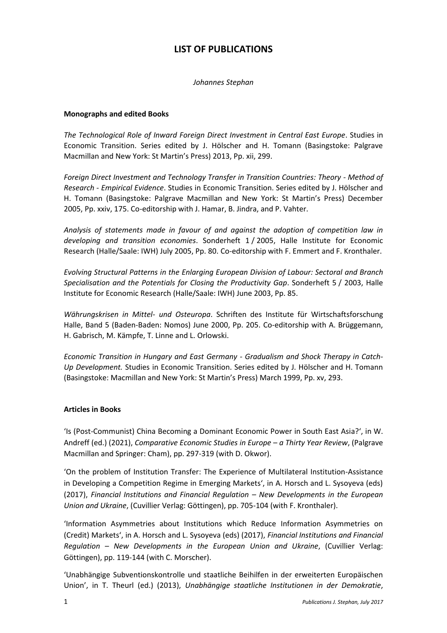# **LIST OF PUBLICATIONS**

*Johannes Stephan*

## **Monographs and edited Books**

*The Technological Role of Inward Foreign Direct Investment in Central East Europe*. Studies in Economic Transition. Series edited by J. Hölscher and H. Tomann (Basingstoke: Palgrave Macmillan and New York: St Martin's Press) 2013, Pp. xii, 299.

*Foreign Direct Investment and Technology Transfer in Transition Countries: Theory - Method of Research - Empirical Evidence*. Studies in Economic Transition. Series edited by J. Hölscher and H. Tomann (Basingstoke: Palgrave Macmillan and New York: St Martin's Press) December 2005, Pp. xxiv, 175. Co-editorship with J. Hamar, B. Jindra, and P. Vahter.

*Analysis of statements made in favour of and against the adoption of competition law in developing and transition economies*. Sonderheft 1 / 2005, Halle Institute for Economic Research (Halle/Saale: IWH) July 2005, Pp. 80. Co-editorship with F. Emmert and F. Kronthaler.

*Evolving Structural Patterns in the Enlarging European Division of Labour: Sectoral and Branch Specialisation and the Potentials for Closing the Productivity Gap*. Sonderheft 5 / 2003, Halle Institute for Economic Research (Halle/Saale: IWH) June 2003, Pp. 85.

*Währungskrisen in Mittel- und Osteuropa*. Schriften des Institute für Wirtschaftsforschung Halle, Band 5 (Baden-Baden: Nomos) June 2000, Pp. 205. Co-editorship with A. Brüggemann, H. Gabrisch, M. Kämpfe, T. Linne and L. Orlowski.

*Economic Transition in Hungary and East Germany - Gradualism and Shock Therapy in Catch-Up Development.* Studies in Economic Transition. Series edited by J. Hölscher and H. Tomann (Basingstoke: Macmillan and New York: St Martin's Press) March 1999, Pp. xv, 293.

#### **Articles in Books**

'Is (Post-Communist) China Becoming a Dominant Economic Power in South East Asia?', in W. Andreff (ed.) (2021), *Comparative Economic Studies in Europe – a Thirty Year Review*, (Palgrave Macmillan and Springer: Cham), pp. 297-319 (with D. Okwor).

'On the problem of Institution Transfer: The Experience of Multilateral Institution-Assistance in Developing a Competition Regime in Emerging Markets', in A. Horsch and L. Sysoyeva (eds) (2017), *Financial Institutions and Financial Regulation – New Developments in the European Union and Ukraine*, (Cuvillier Verlag: Göttingen), pp. 705-104 (with F. Kronthaler).

'Information Asymmetries about Institutions which Reduce Information Asymmetries on (Credit) Markets', in A. Horsch and L. Sysoyeva (eds) (2017), *Financial Institutions and Financial Regulation – New Developments in the European Union and Ukraine*, (Cuvillier Verlag: Göttingen), pp. 119-144 (with C. Morscher).

'Unabhängige Subventionskontrolle und staatliche Beihilfen in der erweiterten Europäischen Union', in T. Theurl (ed.) (2013), *Unabhängige staatliche Institutionen in der Demokratie*,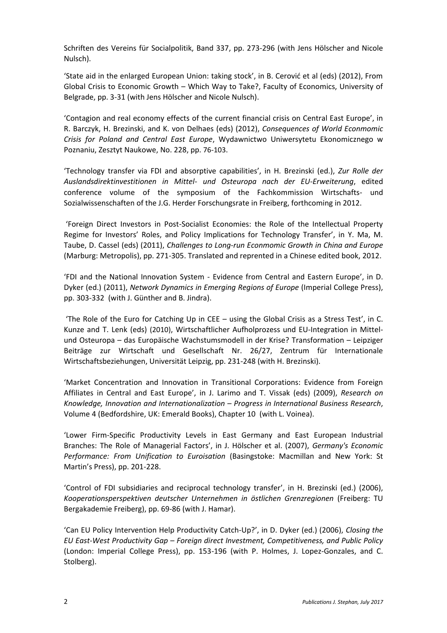Schriften des Vereins für Socialpolitik, Band 337, pp. 273-296 (with Jens Hölscher and Nicole Nulsch).

'State aid in the enlarged European Union: taking stock', in B. Cerović et al (eds) (2012), From Global Crisis to Economic Growth – Which Way to Take?, Faculty of Economics, University of Belgrade, pp. 3-31 (with Jens Hölscher and Nicole Nulsch).

'Contagion and real economy effects of the current financial crisis on Central East Europe', in R. Barczyk, H. Brezinski, and K. von Delhaes (eds) (2012), *Consequences of World Econmomic Crisis for Poland and Central East Europe*, Wydawnictwo Uniwersytetu Ekonomicznego w Poznaniu, Zesztyt Naukowe, No. 228, pp. 76-103.

'Technology transfer via FDI and absorptive capabilities', in H. Brezinski (ed.), *Zur Rolle der Auslandsdirektinvestitionen in Mittel- und Osteuropa nach der EU-Erweiterung*, edited conference volume of the symposium of the Fachkommission Wirtschafts- und Sozialwissenschaften of the J.G. Herder Forschungsrate in Freiberg, forthcoming in 2012.

'Foreign Direct Investors in Post-Socialist Economies: the Role of the Intellectual Property Regime for Investors' Roles, and Policy Implications for Technology Transfer', in Y. Ma, M. Taube, D. Cassel (eds) (2011), *Challenges to Long-run Econmomic Growth in China and Europe* (Marburg: Metropolis), pp. 271-305. Translated and reprented in a Chinese edited book, 2012.

'FDI and the National Innovation System - Evidence from Central and Eastern Europe', in D. Dyker (ed.) (2011), *Network Dynamics in Emerging Regions of Europe* (Imperial College Press), pp. 303-332 (with J. Günther and B. Jindra).

'The Role of the Euro for Catching Up in CEE – using the Global Crisis as a Stress Test', in C. Kunze and T. Lenk (eds) (2010), Wirtschaftlicher Aufholprozess und EU-Integration in Mittelund Osteuropa – das Europäische Wachstumsmodell in der Krise? Transformation – Leipziger Beiträge zur Wirtschaft und Gesellschaft Nr. 26/27, Zentrum für Internationale Wirtschaftsbeziehungen, Universität Leipzig, pp. 231-248 (with H. Brezinski).

'Market Concentration and Innovation in Transitional Corporations: Evidence from Foreign Affiliates in Central and East Europe', in J. Larimo and T. Vissak (eds) (2009), *Research on Knowledge, Innovation and Internationalization – Progress in International Business Research*, Volume 4 (Bedfordshire, UK: Emerald Books), Chapter 10 (with L. Voinea).

'Lower Firm-Specific Productivity Levels in East Germany and East European Industrial Branches: The Role of Managerial Factors', in J. Hölscher et al. (2007), *Germany's Economic Performance: From Unification to Euroisation* (Basingstoke: Macmillan and New York: St Martin's Press), pp. 201-228.

'Control of FDI subsidiaries and reciprocal technology transfer', in H. Brezinski (ed.) (2006), *Kooperationsperspektiven deutscher Unternehmen in östlichen Grenzregionen* (Freiberg: TU Bergakademie Freiberg), pp. 69-86 (with J. Hamar).

'Can EU Policy Intervention Help Productivity Catch-Up?', in D. Dyker (ed.) (2006), *Closing the EU East-West Productivity Gap – Foreign direct Investment, Competitiveness, and Public Policy* (London: Imperial College Press), pp. 153-196 (with P. Holmes, J. Lopez-Gonzales, and C. Stolberg).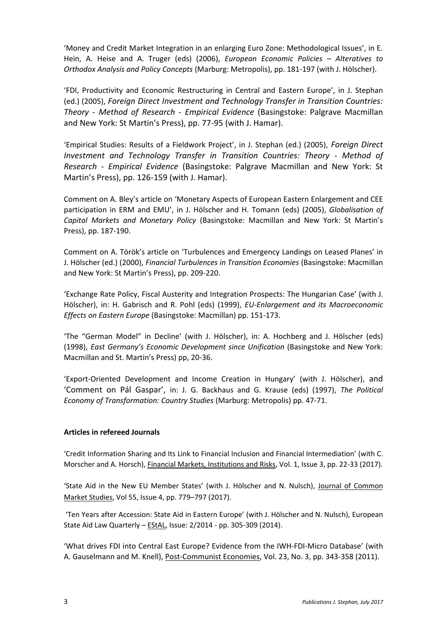'Money and Credit Market Integration in an enlarging Euro Zone: Methodological Issues', in E. Hein, A. Heise and A. Truger (eds) (2006), *European Economic Policies – Alteratives to Orthodox Analysis and Policy Concepts* (Marburg: Metropolis), pp. 181-197 (with J. Hölscher).

'FDI, Productivity and Economic Restructuring in Central and Eastern Europe', in J. Stephan (ed.) (2005), *Foreign Direct Investment and Technology Transfer in Transition Countries: Theory - Method of Research - Empirical Evidence* (Basingstoke: Palgrave Macmillan and New York: St Martin's Press), pp. 77-95 (with J. Hamar).

'Empirical Studies: Results of a Fieldwork Project', in J. Stephan (ed.) (2005), *Foreign Direct Investment and Technology Transfer in Transition Countries: Theory - Method of Research - Empirical Evidence* (Basingstoke: Palgrave Macmillan and New York: St Martin's Press), pp. 126-159 (with J. Hamar).

Comment on A. Bley's article on 'Monetary Aspects of European Eastern Enlargement and CEE participation in ERM and EMU', in J. Hölscher and H. Tomann (eds) (2005), *Globalisation of Capital Markets and Monetary Policy* (Basingstoke: Macmillan and New York: St Martin's Press), pp. 187-190.

Comment on A. Török's article on 'Turbulences and Emergency Landings on Leased Planes' in J. Hölscher (ed.) (2000), *Financial Turbulences in Transition Economies* (Basingstoke: Macmillan and New York: St Martin's Press), pp. 209-220.

'Exchange Rate Policy, Fiscal Austerity and Integration Prospects: The Hungarian Case' (with J. Hölscher), in: H. Gabrisch and R. Pohl (eds) (1999), *EU-Enlargement and its Macroeconomic Effects on Eastern Europe* (Basingstoke: Macmillan) pp. 151-173.

'The "German Model" in Decline' (with J. Hölscher), in: A. Hochberg and J. Hölscher (eds) (1998), *East Germany's Economic Development since Unification* (Basingstoke and New York: Macmillan and St. Martin's Press) pp, 20-36.

'Export-Oriented Development and Income Creation in Hungary' (with J. Hölscher), and 'Comment on Pál Gaspar', in: J. G. Backhaus and G. Krause (eds) (1997), *The Political Economy of Transformation: Country Studies* (Marburg: Metropolis) pp. 47-71.

# **Articles in refereed Journals**

'Credit Information Sharing and Its Link to Financial Inclusion and Financial Intermediation' (with C. Morscher and A. Horsch), Financial Markets, Institutions and Risks, Vol. 1, Issue 3, pp. 22-33 (2017).

'State Aid in the New EU Member States' (with J. Hölscher and N. Nulsch), Journal of Common Market Studies, Vol 55, Issue 4, pp. 779–797 (2017).

'Ten Years after Accession: State Aid in Eastern Europe' (with J. Hölscher and N. Nulsch), European State Aid Law Quarterly – EStAL, Issue: 2/2014 - pp. 305-309 (2014).

'What drives FDI into Central East Europe? Evidence from the IWH-FDI-Micro Database' (with A. Gauselmann and M. Knell), Post-Communist Economies, Vol. 23, No. 3, pp. 343-358 (2011).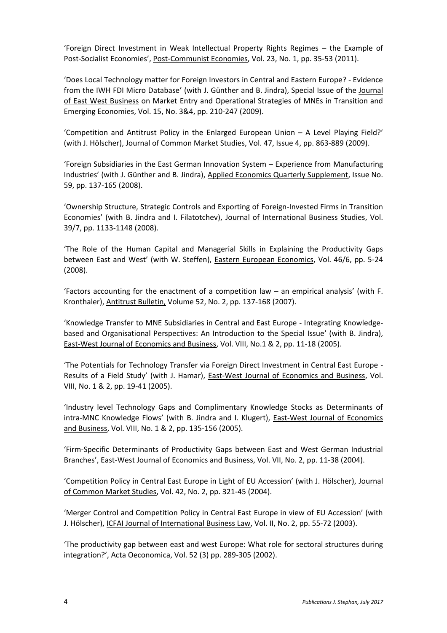'Foreign Direct Investment in Weak Intellectual Property Rights Regimes – the Example of Post-Socialist Economies', Post-Communist Economies, Vol. 23, No. 1, pp. 35-53 (2011).

'Does Local Technology matter for Foreign Investors in Central and Eastern Europe? - Evidence from the IWH FDI Micro Database' (with J. Günther and B. Jindra), Special Issue of the Journal of East West Business on Market Entry and Operational Strategies of MNEs in Transition and Emerging Economies, Vol. 15, No. 3&4, pp. 210-247 (2009).

'Competition and Antitrust Policy in the Enlarged European Union – A Level Playing Field?' (with J. Hölscher), Journal of Common Market Studies, Vol. 47, Issue 4, pp. 863-889 (2009).

'Foreign Subsidiaries in the East German Innovation System – Experience from Manufacturing Industries' (with J. Günther and B. Jindra), Applied Economics Quarterly Supplement, Issue No. 59, pp. 137-165 (2008).

'Ownership Structure, Strategic Controls and Exporting of Foreign-Invested Firms in Transition Economies' (with B. Jindra and I. Filatotchev), Journal of International Business Studies, Vol. 39/7, pp. 1133-1148 (2008).

'The Role of the Human Capital and Managerial Skills in Explaining the Productivity Gaps between East and West' (with W. Steffen), Eastern European Economics, Vol. 46/6, pp. 5-24 (2008).

'Factors accounting for the enactment of a competition law – an empirical analysis' (with F. Kronthaler), Antitrust Bulletin, Volume 52, No. 2, pp. 137-168 (2007).

'Knowledge Transfer to MNE Subsidiaries in Central and East Europe - Integrating Knowledgebased and Organisational Perspectives: An Introduction to the Special Issue' (with B. Jindra), East-West Journal of Economics and Business, Vol. VIII, No.1 & 2, pp. 11-18 (2005).

'The Potentials for Technology Transfer via Foreign Direct Investment in Central East Europe - Results of a Field Study' (with J. Hamar), East-West Journal of Economics and Business, Vol. VIII, No. 1 & 2, pp. 19-41 (2005).

'Industry level Technology Gaps and Complimentary Knowledge Stocks as Determinants of intra-MNC Knowledge Flows' (with B. Jindra and I. Klugert), East-West Journal of Economics and Business, Vol. VIII, No. 1 & 2, pp. 135-156 (2005).

'Firm-Specific Determinants of Productivity Gaps between East and West German Industrial Branches', East-West Journal of Economics and Business, Vol. VII, No. 2, pp. 11-38 (2004).

'Competition Policy in Central East Europe in Light of EU Accession' (with J. Hölscher), Journal of Common Market Studies, Vol. 42, No. 2, pp. 321-45 (2004).

'Merger Control and Competition Policy in Central East Europe in view of EU Accession' (with J. Hölscher), ICFAI Journal of International Business Law, Vol. II, No. 2, pp. 55-72 (2003).

'The productivity gap between east and west Europe: What role for sectoral structures during integration?', Acta Oeconomica, Vol. 52 (3) pp. 289-305 (2002).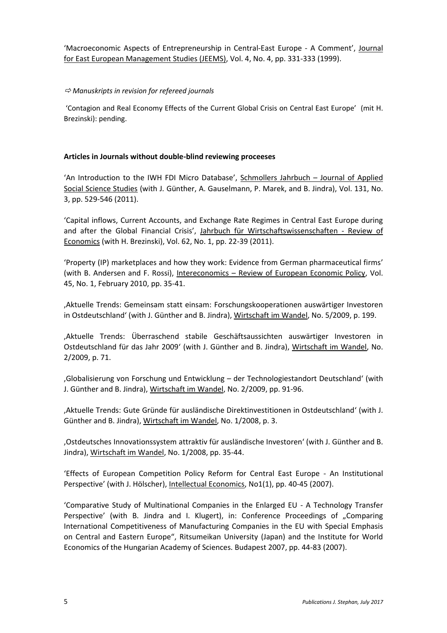'Macroeconomic Aspects of Entrepreneurship in Central-East Europe - A Comment', Journal for East European Management Studies (JEEMS), Vol. 4, No. 4, pp. 331-333 (1999).

# *Manuskripts in revision for refereed journals*

'Contagion and Real Economy Effects of the Current Global Crisis on Central East Europe' (mit H. Brezinski): pending.

## **Articles in Journals without double-blind reviewing proceeses**

'An Introduction to the IWH FDI Micro Database', Schmollers Jahrbuch – Journal of Applied Social Science Studies (with J. Günther, A. Gauselmann, P. Marek, and B. Jindra), Vol. 131, No. 3, pp. 529-546 (2011).

'Capital inflows, Current Accounts, and Exchange Rate Regimes in Central East Europe during and after the Global Financial Crisis', Jahrbuch für Wirtschaftswissenschaften - Review of Economics (with H. Brezinski), Vol. 62, No. 1, pp. 22-39 (2011).

'Property (IP) marketplaces and how they work: Evidence from German pharmaceutical firms' (with B. Andersen and F. Rossi), Intereconomics - Review of European Economic Policy, Vol. 45, No. 1, February 2010, pp. 35-41.

'Aktuelle Trends: Gemeinsam statt einsam: Forschungskooperationen auswärtiger Investoren in Ostdeutschland' (with J. Günther and B. Jindra), Wirtschaft im Wandel, No. 5/2009, p. 199.

'Aktuelle Trends: Überraschend stabile Geschäftsaussichten auswärtiger Investoren in Ostdeutschland für das Jahr 2009' (with J. Günther and B. Jindra), Wirtschaft im Wandel, No. 2/2009, p. 71.

'Globalisierung von Forschung und Entwicklung – der Technologiestandort Deutschland' (with J. Günther and B. Jindra), Wirtschaft im Wandel, No. 2/2009, pp. 91-96.

'Aktuelle Trends: Gute Gründe für ausländische Direktinvestitionen in Ostdeutschland' (with J. Günther and B. Jindra), Wirtschaft im Wandel, No. 1/2008, p. 3.

'Ostdeutsches Innovationssystem attraktiv für ausländische Investoren' (with J. Günther and B. Jindra), Wirtschaft im Wandel, No. 1/2008, pp. 35-44.

'Effects of European Competition Policy Reform for Central East Europe - An Institutional Perspective' (with J. Hölscher), Intellectual Economics, No1(1), pp. 40-45 (2007).

'Comparative Study of Multinational Companies in the Enlarged EU - A Technology Transfer Perspective' (with B. Jindra and I. Klugert), in: Conference Proceedings of "Comparing International Competitiveness of Manufacturing Companies in the EU with Special Emphasis on Central and Eastern Europe", Ritsumeikan University (Japan) and the Institute for World Economics of the Hungarian Academy of Sciences. Budapest 2007, pp. 44-83 (2007).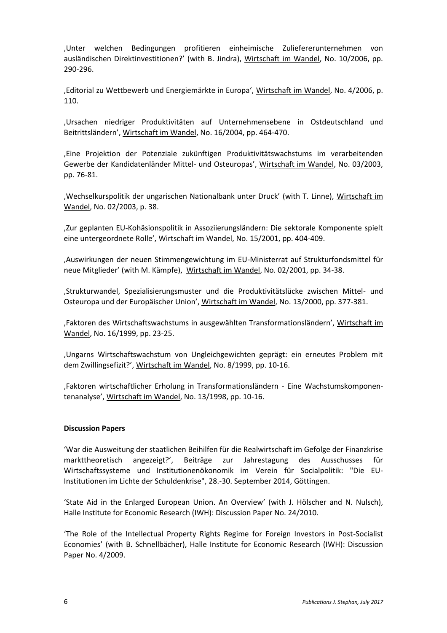'Unter welchen Bedingungen profitieren einheimische Zuliefererunternehmen von ausländischen Direktinvestitionen?' (with B. Jindra), Wirtschaft im Wandel, No. 10/2006, pp. 290-296.

'Editorial zu Wettbewerb und Energiemärkte in Europa', Wirtschaft im Wandel, No. 4/2006, p. 110.

'Ursachen niedriger Produktivitäten auf Unternehmensebene in Ostdeutschland und Beitrittsländern', Wirtschaft im Wandel, No. 16/2004, pp. 464-470.

'Eine Projektion der Potenziale zukünftigen Produktivitätswachstums im verarbeitenden Gewerbe der Kandidatenländer Mittel- und Osteuropas', Wirtschaft im Wandel, No. 03/2003, pp. 76-81.

'Wechselkurspolitik der ungarischen Nationalbank unter Druck' (with T. Linne), Wirtschaft im Wandel, No. 02/2003, p. 38.

'Zur geplanten EU-Kohäsionspolitik in Assoziierungsländern: Die sektorale Komponente spielt eine untergeordnete Rolle', Wirtschaft im Wandel, No. 15/2001, pp. 404-409.

'Auswirkungen der neuen Stimmengewichtung im EU-Ministerrat auf Strukturfondsmittel für neue Mitglieder' (with M. Kämpfe), Wirtschaft im Wandel, No. 02/2001, pp. 34-38.

'Strukturwandel, Spezialisierungsmuster und die Produktivitätslücke zwischen Mittel- und Osteuropa und der Europäischer Union', Wirtschaft im Wandel, No. 13/2000, pp. 377-381.

'Faktoren des Wirtschaftswachstums in ausgewählten Transformationsländern', Wirtschaft im Wandel, No. 16/1999, pp. 23-25.

'Ungarns Wirtschaftswachstum von Ungleichgewichten geprägt: ein erneutes Problem mit dem Zwillingsefizit?', Wirtschaft im Wandel, No. 8/1999, pp. 10-16.

'Faktoren wirtschaftlicher Erholung in Transformationsländern - Eine Wachstumskomponentenanalyse', Wirtschaft im Wandel, No. 13/1998, pp. 10-16.

#### **Discussion Papers**

'War die Ausweitung der staatlichen Beihilfen für die Realwirtschaft im Gefolge der Finanzkrise markttheoretisch angezeigt?', Beiträge zur Jahrestagung des Ausschusses für Wirtschaftssysteme und Institutionenökonomik im Verein für Socialpolitik: "Die EU-Institutionen im Lichte der Schuldenkrise", 28.-30. September 2014, Göttingen.

'State Aid in the Enlarged European Union. An Overview' (with J. Hölscher and N. Nulsch), Halle Institute for Economic Research (IWH): Discussion Paper No. 24/2010.

'The Role of the Intellectual Property Rights Regime for Foreign Investors in Post-Socialist Economies' (with B. Schnellbächer), Halle Institute for Economic Research (IWH): Discussion Paper No. 4/2009.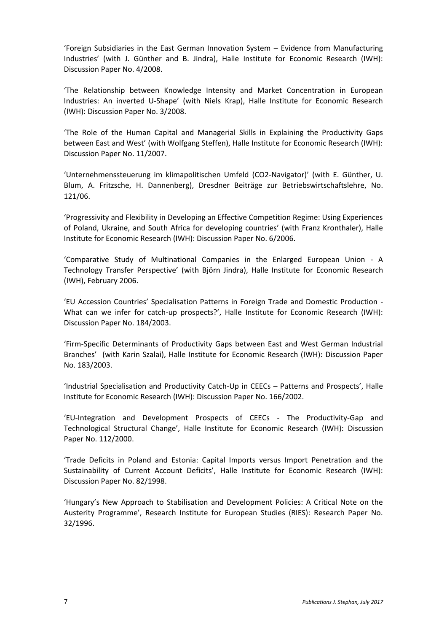'Foreign Subsidiaries in the East German Innovation System – Evidence from Manufacturing Industries' (with J. Günther and B. Jindra), Halle Institute for Economic Research (IWH): Discussion Paper No. 4/2008.

'The Relationship between Knowledge Intensity and Market Concentration in European Industries: An inverted U-Shape' (with Niels Krap), Halle Institute for Economic Research (IWH): Discussion Paper No. 3/2008.

'The Role of the Human Capital and Managerial Skills in Explaining the Productivity Gaps between East and West' (with Wolfgang Steffen), Halle Institute for Economic Research (IWH): Discussion Paper No. 11/2007.

'Unternehmenssteuerung im klimapolitischen Umfeld (CO2-Navigator)' (with E. Günther, U. Blum, A. Fritzsche, H. Dannenberg), Dresdner Beiträge zur Betriebswirtschaftslehre, No. 121/06.

'Progressivity and Flexibility in Developing an Effective Competition Regime: Using Experiences of Poland, Ukraine, and South Africa for developing countries' (with Franz Kronthaler), Halle Institute for Economic Research (IWH): Discussion Paper No. 6/2006.

'Comparative Study of Multinational Companies in the Enlarged European Union - A Technology Transfer Perspective' (with Björn Jindra), Halle Institute for Economic Research (IWH), February 2006.

'EU Accession Countries' Specialisation Patterns in Foreign Trade and Domestic Production - What can we infer for catch-up prospects?', Halle Institute for Economic Research (IWH): Discussion Paper No. 184/2003.

'Firm-Specific Determinants of Productivity Gaps between East and West German Industrial Branches' (with Karin Szalai), Halle Institute for Economic Research (IWH): Discussion Paper No. 183/2003.

'Industrial Specialisation and Productivity Catch-Up in CEECs – Patterns and Prospects', Halle Institute for Economic Research (IWH): Discussion Paper No. 166/2002.

'EU-Integration and Development Prospects of CEECs - The Productivity-Gap and Technological Structural Change', Halle Institute for Economic Research (IWH): Discussion Paper No. 112/2000.

'Trade Deficits in Poland and Estonia: Capital Imports versus Import Penetration and the Sustainability of Current Account Deficits', Halle Institute for Economic Research (IWH): Discussion Paper No. 82/1998.

'Hungary's New Approach to Stabilisation and Development Policies: A Critical Note on the Austerity Programme', Research Institute for European Studies (RIES): Research Paper No. 32/1996.